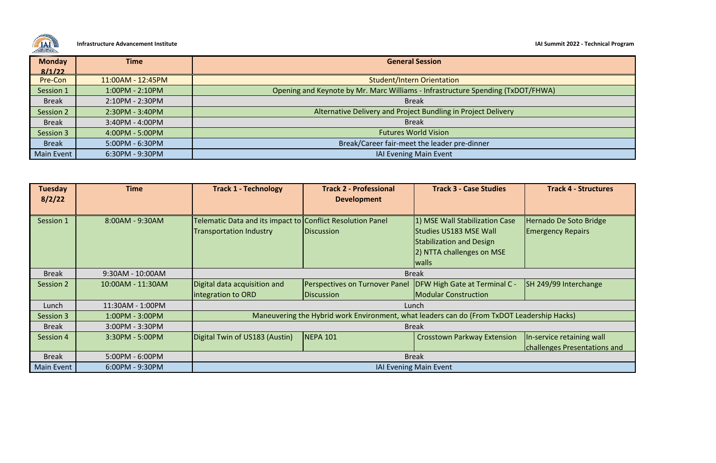**Infrastructure Advancement Institute IAI Summit 2022 - Technical Program**

**Track 3 - Case Studies Track 4 - Structures**

In-service retaining wall challenges Presentations and

Hernado De Soto Bridge Emergency Repairs

SH 249/99 Interchange

adership Hacks)



| <b>Monday</b>     | <b>Time</b>       | <b>General Session</b>                                                    |  |
|-------------------|-------------------|---------------------------------------------------------------------------|--|
| 8/1/22            |                   |                                                                           |  |
| Pre-Con           | 11:00AM - 12:45PM | Student/Intern Orientation                                                |  |
| Session 1         | $1:00PM - 2:10PM$ | Opening and Keynote by Mr. Marc Williams - Infrastructure Spending (TxDO) |  |
| <b>Break</b>      | 2:10PM - 2:30PM   | <b>Break</b>                                                              |  |
| Session 2         | 2:30PM - 3:40PM   | Alternative Delivery and Project Bundling in Project Delivery             |  |
| <b>Break</b>      | 3:40PM - 4:00PM   | <b>Break</b>                                                              |  |
| Session 3         | 4:00PM - 5:00PM   | <b>Futures World Vision</b>                                               |  |
| <b>Break</b>      | 5:00PM - 6:30PM   | Break/Career fair-meet the leader pre-dinner                              |  |
| <b>Main Event</b> | 6:30PM - 9:30PM   | <b>IAI Evening Main Event</b>                                             |  |

| <b>Tuesday</b><br>8/2/22 | <b>Time</b>       | <b>Track 1 - Technology</b>                                                                  | <b>Track 2 - Professional</b><br><b>Development</b> | <b>Track 3 - Case Studies</b>                                                                                                            |  |  |
|--------------------------|-------------------|----------------------------------------------------------------------------------------------|-----------------------------------------------------|------------------------------------------------------------------------------------------------------------------------------------------|--|--|
| Session 1                | 8:00AM - 9:30AM   | Telematic Data and its impact to Conflict Resolution Panel<br><b>Transportation Industry</b> | <b>Discussion</b>                                   | 1) MSE Wall Stabilization Case<br><b>Studies US183 MSE Wall</b><br><b>Stabilization and Design</b><br>2) NTTA challenges on MSE<br>walls |  |  |
| <b>Break</b>             | 9:30AM - 10:00AM  | <b>Break</b>                                                                                 |                                                     |                                                                                                                                          |  |  |
| Session 2                | 10:00AM - 11:30AM | Digital data acquisition and<br>integration to ORD                                           | Perspectives on Turnover Panel<br><b>Discussion</b> | <b>DFW High Gate at Terminal C -</b><br><b>Modular Construction</b>                                                                      |  |  |
| Lunch                    | 11:30AM - 1:00PM  | Lunch                                                                                        |                                                     |                                                                                                                                          |  |  |
| Session 3                | 1:00PM - 3:00PM   | Maneuvering the Hybrid work Environment, what leaders can do (From TxDOT Lea                 |                                                     |                                                                                                                                          |  |  |
| <b>Break</b>             | 3:00PM - 3:30PM   | <b>Break</b>                                                                                 |                                                     |                                                                                                                                          |  |  |
| Session 4                | 3:30PM - 5:00PM   | Digital Twin of US183 (Austin)                                                               | <b>NEPA 101</b>                                     | <b>Crosstown Parkway Extension</b>                                                                                                       |  |  |
| <b>Break</b>             | 5:00PM - 6:00PM   | <b>Break</b>                                                                                 |                                                     |                                                                                                                                          |  |  |
| <b>Main Event</b>        | $6:00PM - 9:30PM$ | <b>IAI Evening Main Event</b>                                                                |                                                     |                                                                                                                                          |  |  |